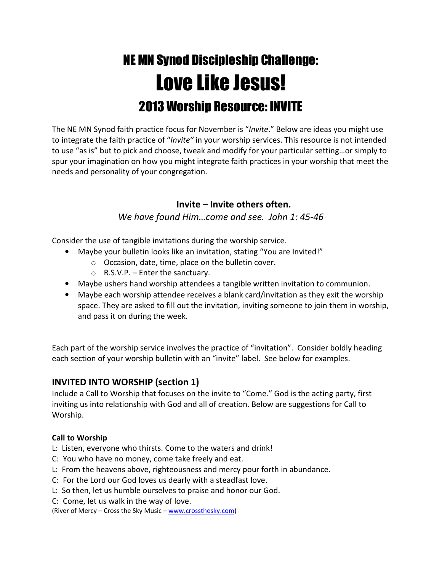# NE MN Synod Discipleship Challenge: Love Like Jesus! 2013 Worship Resource: INVITE

The NE MN Synod faith practice focus for November is "Invite." Below are ideas you might use to integrate the faith practice of "Invite" in your worship services. This resource is not intended to use "as is" but to pick and choose, tweak and modify for your particular setting…or simply to spur your imagination on how you might integrate faith practices in your worship that meet the needs and personality of your congregation.

## Invite – Invite others often.

## We have found Him...come and see. John 1: 45-46

Consider the use of tangible invitations during the worship service.

- Maybe your bulletin looks like an invitation, stating "You are Invited!"
	- o Occasion, date, time, place on the bulletin cover.
	- $\circ$  R.S.V.P. Enter the sanctuary.
- Maybe ushers hand worship attendees a tangible written invitation to communion.
- Maybe each worship attendee receives a blank card/invitation as they exit the worship space. They are asked to fill out the invitation, inviting someone to join them in worship, and pass it on during the week.

Each part of the worship service involves the practice of "invitation". Consider boldly heading each section of your worship bulletin with an "invite" label. See below for examples.

# INVITED INTO WORSHIP (section 1)

Include a Call to Worship that focuses on the invite to "Come." God is the acting party, first inviting us into relationship with God and all of creation. Below are suggestions for Call to Worship.

## Call to Worship

- L: Listen, everyone who thirsts. Come to the waters and drink!
- C: You who have no money, come take freely and eat.
- L: From the heavens above, righteousness and mercy pour forth in abundance.
- C: For the Lord our God loves us dearly with a steadfast love.
- L: So then, let us humble ourselves to praise and honor our God.
- C: Come, let us walk in the way of love.

(River of Mercy - Cross the Sky Music - www.crossthesky.com)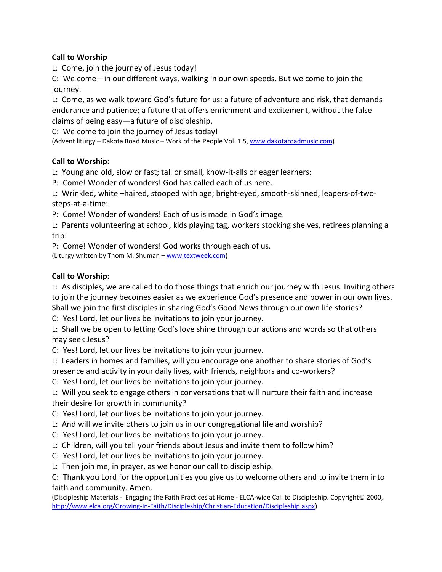## Call to Worship

L: Come, join the journey of Jesus today!

C: We come—in our different ways, walking in our own speeds. But we come to join the journey.

L: Come, as we walk toward God's future for us: a future of adventure and risk, that demands endurance and patience; a future that offers enrichment and excitement, without the false claims of being easy—a future of discipleship.

C: We come to join the journey of Jesus today!

(Advent liturgy – Dakota Road Music – Work of the People Vol. 1.5, www.dakotaroadmusic.com)

## Call to Worship:

L: Young and old, slow or fast; tall or small, know-it-alls or eager learners:

P: Come! Wonder of wonders! God has called each of us here.

L: Wrinkled, white –haired, stooped with age; bright-eyed, smooth-skinned, leapers-of-twosteps-at-a-time:

P: Come! Wonder of wonders! Each of us is made in God's image.

L: Parents volunteering at school, kids playing tag, workers stocking shelves, retirees planning a trip:

P: Come! Wonder of wonders! God works through each of us.

(Liturgy written by Thom M. Shuman – www.textweek.com)

## Call to Worship:

L: As disciples, we are called to do those things that enrich our journey with Jesus. Inviting others to join the journey becomes easier as we experience God's presence and power in our own lives. Shall we join the first disciples in sharing God's Good News through our own life stories?

C: Yes! Lord, let our lives be invitations to join your journey.

L: Shall we be open to letting God's love shine through our actions and words so that others may seek Jesus?

C: Yes! Lord, let our lives be invitations to join your journey.

L: Leaders in homes and families, will you encourage one another to share stories of God's

presence and activity in your daily lives, with friends, neighbors and co-workers?

C: Yes! Lord, let our lives be invitations to join your journey.

L: Will you seek to engage others in conversations that will nurture their faith and increase their desire for growth in community?

C: Yes! Lord, let our lives be invitations to join your journey.

L: And will we invite others to join us in our congregational life and worship?

- C: Yes! Lord, let our lives be invitations to join your journey.
- L: Children, will you tell your friends about Jesus and invite them to follow him?
- C: Yes! Lord, let our lives be invitations to join your journey.
- L: Then join me, in prayer, as we honor our call to discipleship.

C: Thank you Lord for the opportunities you give us to welcome others and to invite them into faith and community. Amen.

(Discipleship Materials - Engaging the Faith Practices at Home - ELCA-wide Call to Discipleship. Copyright© 2000, http://www.elca.org/Growing-In-Faith/Discipleship/Christian-Education/Discipleship.aspx)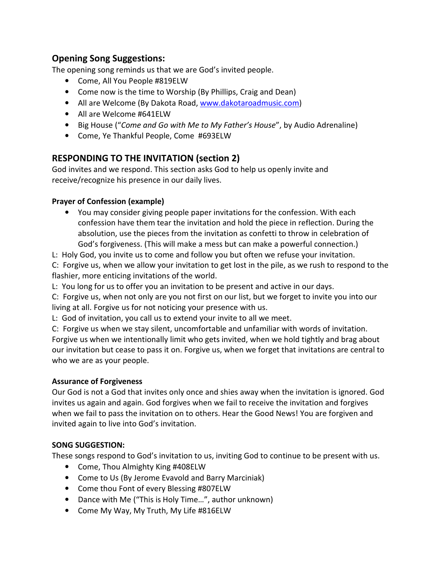# Opening Song Suggestions:

The opening song reminds us that we are God's invited people.

- Come, All You People #819ELW
- Come now is the time to Worship (By Phillips, Craig and Dean)
- All are Welcome (By Dakota Road, www.dakotaroadmusic.com)
- All are Welcome #641ELW
- Big House ("Come and Go with Me to My Father's House", by Audio Adrenaline)
- Come, Ye Thankful People, Come #693ELW

# RESPONDING TO THE INVITATION (section 2)

God invites and we respond. This section asks God to help us openly invite and receive/recognize his presence in our daily lives.

## Prayer of Confession (example)

- You may consider giving people paper invitations for the confession. With each confession have them tear the invitation and hold the piece in reflection. During the absolution, use the pieces from the invitation as confetti to throw in celebration of God's forgiveness. (This will make a mess but can make a powerful connection.)
- L: Holy God, you invite us to come and follow you but often we refuse your invitation.

C: Forgive us, when we allow your invitation to get lost in the pile, as we rush to respond to the flashier, more enticing invitations of the world.

L: You long for us to offer you an invitation to be present and active in our days.

C: Forgive us, when not only are you not first on our list, but we forget to invite you into our living at all. Forgive us for not noticing your presence with us.

L: God of invitation, you call us to extend your invite to all we meet.

C: Forgive us when we stay silent, uncomfortable and unfamiliar with words of invitation. Forgive us when we intentionally limit who gets invited, when we hold tightly and brag about our invitation but cease to pass it on. Forgive us, when we forget that invitations are central to who we are as your people.

## Assurance of Forgiveness

Our God is not a God that invites only once and shies away when the invitation is ignored. God invites us again and again. God forgives when we fail to receive the invitation and forgives when we fail to pass the invitation on to others. Hear the Good News! You are forgiven and invited again to live into God's invitation.

## SONG SUGGESTION:

These songs respond to God's invitation to us, inviting God to continue to be present with us.

- Come, Thou Almighty King #408ELW
- Come to Us (By Jerome Evavold and Barry Marciniak)
- Come thou Font of every Blessing #807ELW
- Dance with Me ("This is Holy Time…", author unknown)
- Come My Way, My Truth, My Life #816ELW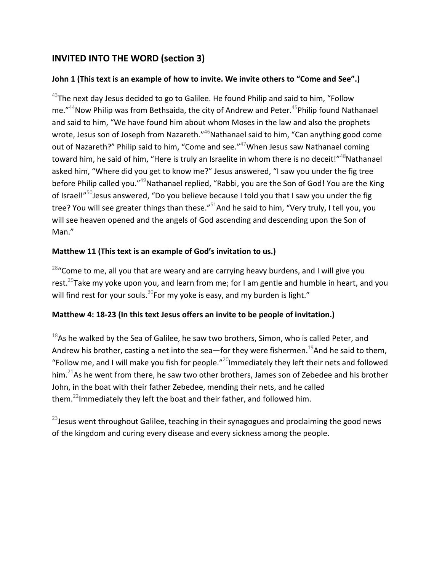# INVITED INTO THE WORD (section 3)

## John 1 (This text is an example of how to invite. We invite others to "Come and See".)

 $^{43}$ The next day Jesus decided to go to Galilee. He found Philip and said to him, "Follow me." $44$ Now Philip was from Bethsaida, the city of Andrew and Peter. $45$ Philip found Nathanael and said to him, "We have found him about whom Moses in the law and also the prophets wrote, Jesus son of Joseph from Nazareth."<sup>46</sup>Nathanael said to him, "Can anything good come out of Nazareth?" Philip said to him, "Come and see."<sup>47</sup>When Jesus saw Nathanael coming toward him, he said of him, "Here is truly an Israelite in whom there is no deceit!"<sup>48</sup>Nathanael asked him, "Where did you get to know me?" Jesus answered, "I saw you under the fig tree before Philip called you."<sup>49</sup>Nathanael replied, "Rabbi, you are the Son of God! You are the King of Israel!"<sup>50</sup>Jesus answered, "Do you believe because I told you that I saw you under the fig tree? You will see greater things than these."<sup>51</sup>And he said to him, "Very truly, I tell you, you will see heaven opened and the angels of God ascending and descending upon the Son of Man."

## Matthew 11 (This text is an example of God's invitation to us.)

 $28$  "Come to me, all you that are weary and are carrying heavy burdens, and I will give you rest.<sup>29</sup>Take my yoke upon you, and learn from me; for I am gentle and humble in heart, and you will find rest for your souls.<sup>30</sup>For my yoke is easy, and my burden is light."

## Matthew 4: 18-23 (In this text Jesus offers an invite to be people of invitation.)

 $18$ As he walked by the Sea of Galilee, he saw two brothers, Simon, who is called Peter, and Andrew his brother, casting a net into the sea—for they were fishermen.<sup>19</sup>And he said to them, "Follow me, and I will make you fish for people."<sup>20</sup>Immediately they left their nets and followed him.<sup>21</sup>As he went from there, he saw two other brothers, James son of Zebedee and his brother John, in the boat with their father Zebedee, mending their nets, and he called them.<sup>22</sup>Immediately they left the boat and their father, and followed him.

 $23$  Jesus went throughout Galilee, teaching in their synagogues and proclaiming the good news of the kingdom and curing every disease and every sickness among the people.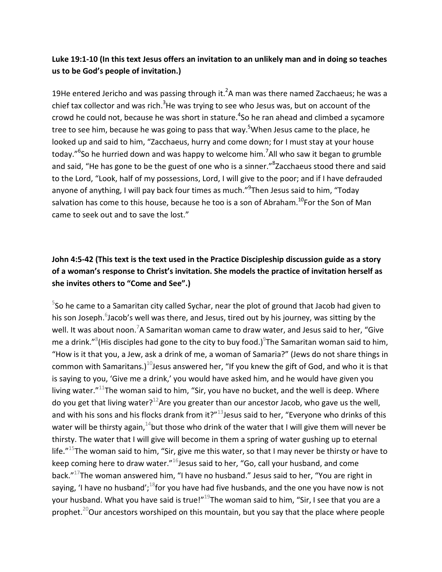## Luke 19:1-10 (In this text Jesus offers an invitation to an unlikely man and in doing so teaches us to be God's people of invitation.)

19He entered Jericho and was passing through it.<sup>2</sup>A man was there named Zacchaeus; he was a chief tax collector and was rich.<sup>3</sup>He was trying to see who Jesus was, but on account of the crowd he could not, because he was short in stature.<sup>4</sup>So he ran ahead and climbed a sycamore tree to see him, because he was going to pass that way.<sup>5</sup>When Jesus came to the place, he looked up and said to him, "Zacchaeus, hurry and come down; for I must stay at your house today."<sup>6</sup>So he hurried down and was happy to welcome him.<sup>7</sup>All who saw it began to grumble and said, "He has gone to be the guest of one who is a sinner."<sup>8</sup>Zacchaeus stood there and said to the Lord, "Look, half of my possessions, Lord, I will give to the poor; and if I have defrauded anyone of anything, I will pay back four times as much."<sup>9</sup>Then Jesus said to him, "Today salvation has come to this house, because he too is a son of Abraham.<sup>10</sup>For the Son of Man came to seek out and to save the lost."

# John 4:5-42 (This text is the text used in the Practice Discipleship discussion guide as a story of a woman's response to Christ's invitation. She models the practice of invitation herself as she invites others to "Come and See".)

 $5$ So he came to a Samaritan city called Sychar, near the plot of ground that Jacob had given to his son Joseph.<sup>6</sup>Jacob's well was there, and Jesus, tired out by his journey, was sitting by the well. It was about noon.<sup>7</sup>A Samaritan woman came to draw water, and Jesus said to her, "Give me a drink."<sup>8</sup>(His disciples had gone to the city to buy food.)<sup>9</sup>The Samaritan woman said to him, "How is it that you, a Jew, ask a drink of me, a woman of Samaria?" (Jews do not share things in common with Samaritans.)<sup>10</sup>Jesus answered her, "If you knew the gift of God, and who it is that is saying to you, 'Give me a drink,' you would have asked him, and he would have given you living water. $"$ <sup>11</sup>The woman said to him, "Sir, you have no bucket, and the well is deep. Where do you get that living water?<sup>12</sup>Are you greater than our ancestor Jacob, who gave us the well, and with his sons and his flocks drank from it?"<sup>13</sup> Jesus said to her, "Everyone who drinks of this water will be thirsty again,  $14$  but those who drink of the water that I will give them will never be thirsty. The water that I will give will become in them a spring of water gushing up to eternal life."<sup>15</sup>The woman said to him, "Sir, give me this water, so that I may never be thirsty or have to keep coming here to draw water. $n^{16}$ Jesus said to her, "Go, call your husband, and come back."<sup>17</sup>The woman answered him, "I have no husband." Jesus said to her, "You are right in saying, 'I have no husband';<sup>18</sup>for you have had five husbands, and the one you have now is not your husband. What you have said is true!"<sup>19</sup>The woman said to him, "Sir, I see that you are a prophet.<sup>20</sup>Our ancestors worshiped on this mountain, but you say that the place where people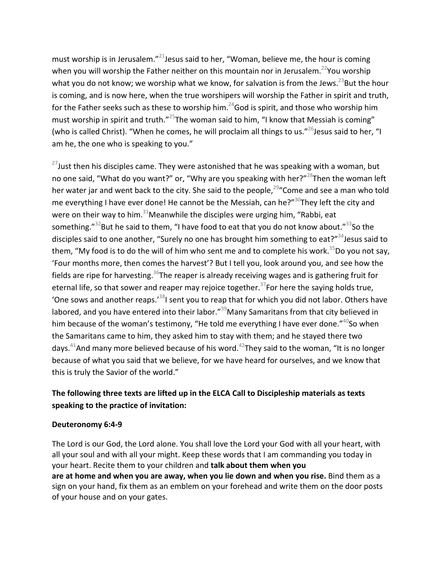must worship is in Jerusalem."<sup>21</sup> Jesus said to her, "Woman, believe me, the hour is coming when you will worship the Father neither on this mountain nor in Jerusalem.<sup>22</sup>You worship what you do not know; we worship what we know, for salvation is from the Jews.<sup>23</sup>But the hour is coming, and is now here, when the true worshipers will worship the Father in spirit and truth, for the Father seeks such as these to worship him.<sup>24</sup>God is spirit, and those who worship him must worship in spirit and truth."<sup>25</sup>The woman said to him, "I know that Messiah is coming" (who is called Christ). "When he comes, he will proclaim all things to us."<sup>26</sup>Jesus said to her. "I am he, the one who is speaking to you."

 $27$ Just then his disciples came. They were astonished that he was speaking with a woman, but no one said, "What do you want?" or, "Why are you speaking with her?"<sup>28</sup>Then the woman left her water jar and went back to the city. She said to the people,<sup>29</sup> Come and see a man who told me everything I have ever done! He cannot be the Messiah, can he?" $30$ They left the city and were on their way to him. $31$ Meanwhile the disciples were urging him, "Rabbi, eat something." $32$ But he said to them, "I have food to eat that you do not know about." $33$ So the disciples said to one another, "Surely no one has brought him something to eat?" $34$  Jesus said to them, "My food is to do the will of him who sent me and to complete his work.<sup>35</sup>Do you not say. 'Four months more, then comes the harvest'? But I tell you, look around you, and see how the fields are ripe for harvesting.<sup>36</sup>The reaper is already receiving wages and is gathering fruit for eternal life, so that sower and reaper may rejoice together.<sup>37</sup>For here the saying holds true, 'One sows and another reaps.'<sup>38</sup>I sent you to reap that for which you did not labor. Others have labored, and you have entered into their labor."<sup>39</sup>Many Samaritans from that city believed in him because of the woman's testimony, "He told me everything I have ever done."  $40$ So when the Samaritans came to him, they asked him to stay with them; and he stayed there two days.<sup>41</sup>And many more believed because of his word.<sup>42</sup>They said to the woman, "It is no longer because of what you said that we believe, for we have heard for ourselves, and we know that this is truly the Savior of the world."

## The following three texts are lifted up in the ELCA Call to Discipleship materials as texts speaking to the practice of invitation:

#### Deuteronomy 6:4-9

The Lord is our God, the Lord alone. You shall love the Lord your God with all your heart, with all your soul and with all your might. Keep these words that I am commanding you today in your heart. Recite them to your children and talk about them when you are at home and when you are away, when you lie down and when you rise. Bind them as a sign on your hand, fix them as an emblem on your forehead and write them on the door posts of your house and on your gates.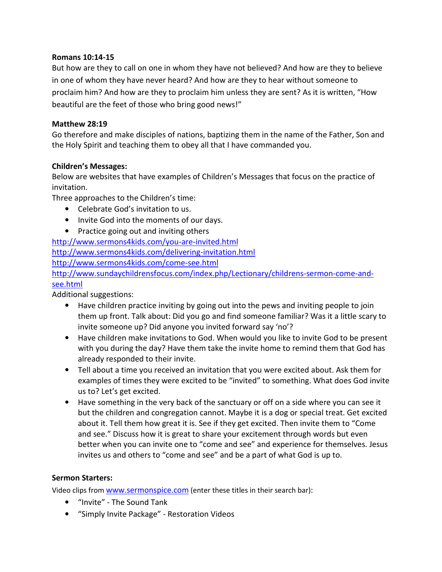#### Romans 10:14-15

But how are they to call on one in whom they have not believed? And how are they to believe in one of whom they have never heard? And how are they to hear without someone to proclaim him? And how are they to proclaim him unless they are sent? As it is written, "How beautiful are the feet of those who bring good news!"

#### Matthew 28:19

Go therefore and make disciples of nations, baptizing them in the name of the Father, Son and the Holy Spirit and teaching them to obey all that I have commanded you.

#### Children's Messages:

Below are websites that have examples of Children's Messages that focus on the practice of invitation.

Three approaches to the Children's time:

- Celebrate God's invitation to us.
- Invite God into the moments of our days.
- Practice going out and inviting others

http://www.sermons4kids.com/you-are-invited.html

http://www.sermons4kids.com/delivering-invitation.html

http://www.sermons4kids.com/come-see.html

http://www.sundaychildrensfocus.com/index.php/Lectionary/childrens-sermon-come-andsee.html

Additional suggestions:

- Have children practice inviting by going out into the pews and inviting people to join them up front. Talk about: Did you go and find someone familiar? Was it a little scary to invite someone up? Did anyone you invited forward say 'no'?
- Have children make invitations to God. When would you like to invite God to be present with you during the day? Have them take the invite home to remind them that God has already responded to their invite.
- Tell about a time you received an invitation that you were excited about. Ask them for examples of times they were excited to be "invited" to something. What does God invite us to? Let's get excited.
- Have something in the very back of the sanctuary or off on a side where you can see it but the children and congregation cannot. Maybe it is a dog or special treat. Get excited about it. Tell them how great it is. See if they get excited. Then invite them to "Come and see." Discuss how it is great to share your excitement through words but even better when you can invite one to "come and see" and experience for themselves. Jesus invites us and others to "come and see" and be a part of what God is up to.

## Sermon Starters:

Video clips from www.sermonspice.com (enter these titles in their search bar):

- "Invite" The Sound Tank
- "Simply Invite Package" Restoration Videos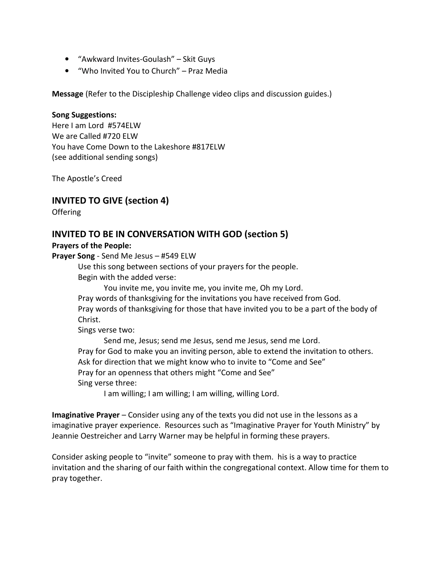- "Awkward Invites-Goulash" Skit Guys
- "Who Invited You to Church" Praz Media

Message (Refer to the Discipleship Challenge video clips and discussion guides.)

#### Song Suggestions:

Here I am Lord #574ELW We are Called #720 ELW You have Come Down to the Lakeshore #817ELW (see additional sending songs)

The Apostle's Creed

## INVITED TO GIVE (section 4)

**Offering** 

## INVITED TO BE IN CONVERSATION WITH GOD (section 5)

#### Prayers of the People:

Prayer Song - Send Me Jesus – #549 ELW

Use this song between sections of your prayers for the people.

Begin with the added verse:

You invite me, you invite me, you invite me, Oh my Lord.

Pray words of thanksgiving for the invitations you have received from God.

Pray words of thanksgiving for those that have invited you to be a part of the body of Christ.

Sings verse two:

 Send me, Jesus; send me Jesus, send me Jesus, send me Lord. Pray for God to make you an inviting person, able to extend the invitation to others. Ask for direction that we might know who to invite to "Come and See" Pray for an openness that others might "Come and See" Sing verse three:

I am willing; I am willing; I am willing, willing Lord.

Imaginative Prayer – Consider using any of the texts you did not use in the lessons as a imaginative prayer experience. Resources such as "Imaginative Prayer for Youth Ministry" by Jeannie Oestreicher and Larry Warner may be helpful in forming these prayers.

Consider asking people to "invite" someone to pray with them. his is a way to practice invitation and the sharing of our faith within the congregational context. Allow time for them to pray together.